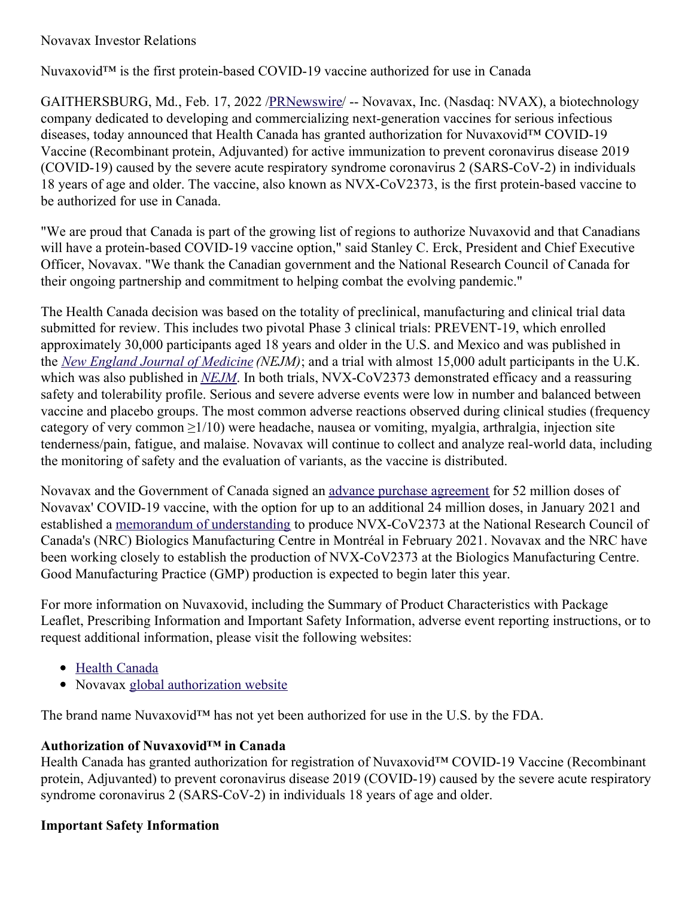#### Novavax Investor Relations

Nuvaxovid™ is the first protein-based COVID-19 vaccine authorized for use in Canada

GAITHERSBURG, Md., Feb. 17, 2022 [/PRNewswire](http://www.prnewswire.com/)/ -- Novavax, Inc. (Nasdaq: NVAX), a biotechnology company dedicated to developing and commercializing next-generation vaccines for serious infectious diseases, today announced that Health Canada has granted authorization for Nuvaxovid™ COVID-19 Vaccine (Recombinant protein, Adjuvanted) for active immunization to prevent coronavirus disease 2019 (COVID-19) caused by the severe acute respiratory syndrome coronavirus 2 (SARS-CoV-2) in individuals 18 years of age and older. The vaccine, also known as NVX-CoV2373, is the first protein-based vaccine to be authorized for use in Canada.

"We are proud that Canada is part of the growing list of regions to authorize Nuvaxovid and that Canadians will have a protein-based COVID-19 vaccine option," said Stanley C. Erck, President and Chief Executive Officer, Novavax. "We thank the Canadian government and the National Research Council of Canada for their ongoing partnership and commitment to helping combat the evolving pandemic."

The Health Canada decision was based on the totality of preclinical, manufacturing and clinical trial data submitted for review. This includes two pivotal Phase 3 clinical trials: PREVENT-19, which enrolled approximately 30,000 participants aged 18 years and older in the U.S. and Mexico and was published in the *New England Journal of [Medicine](https://c212.net/c/link/?t=0&l=en&o=3447006-1&h=3860727948&u=https%3A%2F%2Fc212.net%2Fc%2Flink%2F%3Ft%3D0%26l%3Den%26o%3D3407775-1%26h%3D907997649%26u%3Dhttps%253A%252F%252Fwww.nejm.org%252Fdoi%252Ffull%252F10.1056%252FNEJMoa2116185%253Fquery%253Dfeatured_home%26a%3DNew%2BEngland%2BJournal%2Bof%2BMedicine&a=New+England+Journal+of+Medicine) (NEJM)*; and a trial with almost 15,000 adult participants in the U.K. which was also published in *[NEJM](https://c212.net/c/link/?t=0&l=en&o=3447006-1&h=1052827388&u=https%3A%2F%2Fc212.net%2Fc%2Flink%2F%3Ft%3D0%26l%3Den%26o%3D3407775-1%26h%3D4200925079%26u%3Dhttps%253A%252F%252Fwww.nejm.org%252Fdoi%252Ffull%252F10.1056%252FNEJMoa2107659%26a%3DNEJM&a=NEJM)*. In both trials, NVX-CoV2373 demonstrated efficacy and a reassuring safety and tolerability profile. Serious and severe adverse events were low in number and balanced between vaccine and placebo groups. The most common adverse reactions observed during clinical studies (frequency category of very common  $\geq 1/10$ ) were headache, nausea or vomiting, myalgia, arthralgia, injection site tenderness/pain, fatigue, and malaise. Novavax will continue to collect and analyze real-world data, including the monitoring of safety and the evaluation of variants, as the vaccine is distributed.

Novavax and the Government of Canada signed an advance purchase [agreement](https://c212.net/c/link/?t=0&l=en&o=3447006-1&h=1295856281&u=https%3A%2F%2Fir.novavax.com%2F2021-01-22-Novavax-and-Government-of-Canada-Finalize-Advance-Purchase-Agreement-for-COVID-19-Vaccine&a=advance+purchase+agreement) for 52 million doses of Novavax' COVID-19 vaccine, with the option for up to an additional 24 million doses, in January 2021 and established a memorandum of [understanding](https://c212.net/c/link/?t=0&l=en&o=3447006-1&h=1122502402&u=https%3A%2F%2Fir.novavax.com%2F2021-02-02-Novavax-Announces-Memorandum-of-Understanding-to-Produce-COVID-19-Vaccine-Made-in-Canada&a=memorandum+of+understanding) to produce NVX-CoV2373 at the National Research Council of Canada's (NRC) Biologics Manufacturing Centre in Montréal in February 2021. Novavax and the NRC have been working closely to establish the production of NVX-CoV2373 at the Biologics Manufacturing Centre. Good Manufacturing Practice (GMP) production is expected to begin later this year.

For more information on Nuvaxovid, including the Summary of Product Characteristics with Package Leaflet, Prescribing Information and Important Safety Information, adverse event reporting instructions, or to request additional information, please visit the following websites:

- Health [Canada](https://c212.net/c/link/?t=0&l=en&o=3447006-1&h=3819970959&u=https%3A%2F%2Fwww.canada.ca%2Fen%2Fhealth-canada%2Fservices%2Fdrugs-health-products%2Fcovid19-industry%2Fdrugs-vaccines-treatments%2Fauthorization%2Flist-drugs.html%23wb-auto-4&a=Health+Canada)
- Novavax global [authorization](https://c212.net/c/link/?t=0&l=en&o=3447006-1&h=4001818964&u=https%3A%2F%2Fwww.novavaxcovidvaccine.com%2F&a=global+authorization+website) website

The brand name Nuvaxovid™ has not yet been authorized for use in the U.S. by the FDA.

## **Authorization of Nuvaxovid™ in Canada**

Health Canada has granted authorization for registration of Nuvaxovid™ COVID-19 Vaccine (Recombinant protein, Adjuvanted) to prevent coronavirus disease 2019 (COVID-19) caused by the severe acute respiratory syndrome coronavirus 2 (SARS-CoV-2) in individuals 18 years of age and older.

## **Important Safety Information**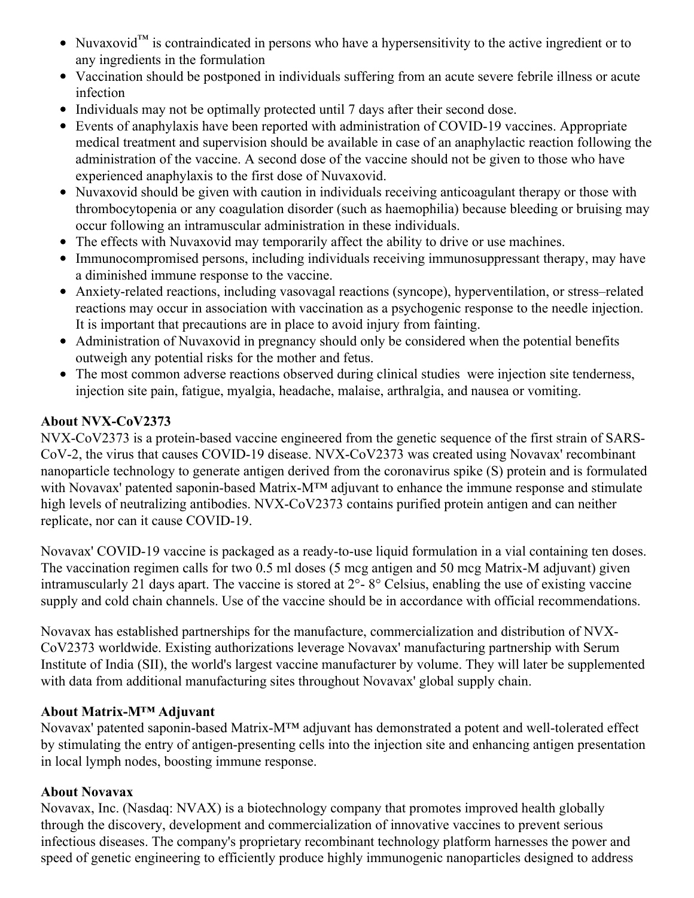- Nuvaxovid<sup>™</sup> is contraindicated in persons who have a hypersensitivity to the active ingredient or to any ingredients in the formulation
- Vaccination should be postponed in individuals suffering from an acute severe febrile illness or acute infection
- Individuals may not be optimally protected until 7 days after their second dose.
- Events of anaphylaxis have been reported with administration of COVID-19 vaccines. Appropriate medical treatment and supervision should be available in case of an anaphylactic reaction following the administration of the vaccine. A second dose of the vaccine should not be given to those who have experienced anaphylaxis to the first dose of Nuvaxovid.
- Nuvaxovid should be given with caution in individuals receiving anticoagulant therapy or those with thrombocytopenia or any coagulation disorder (such as haemophilia) because bleeding or bruising may occur following an intramuscular administration in these individuals.
- The effects with Nuvaxovid may temporarily affect the ability to drive or use machines.
- Immunocompromised persons, including individuals receiving immunosuppressant therapy, may have a diminished immune response to the vaccine.
- Anxiety-related reactions, including vasovagal reactions (syncope), hyperventilation, or stress–related reactions may occur in association with vaccination as a psychogenic response to the needle injection. It is important that precautions are in place to avoid injury from fainting.
- Administration of Nuvaxovid in pregnancy should only be considered when the potential benefits outweigh any potential risks for the mother and fetus.
- The most common adverse reactions observed during clinical studies were injection site tenderness, injection site pain, fatigue, myalgia, headache, malaise, arthralgia, and nausea or vomiting.

# **About NVX-CoV2373**

NVX-CoV2373 is a protein-based vaccine engineered from the genetic sequence of the first strain of SARS-CoV-2, the virus that causes COVID-19 disease. NVX-CoV2373 was created using Novavax' recombinant nanoparticle technology to generate antigen derived from the coronavirus spike (S) protein and is formulated with Novavax' patented saponin-based Matrix-M™ adjuvant to enhance the immune response and stimulate high levels of neutralizing antibodies. NVX-CoV2373 contains purified protein antigen and can neither replicate, nor can it cause COVID-19.

Novavax' COVID-19 vaccine is packaged as a ready-to-use liquid formulation in a vial containing ten doses. The vaccination regimen calls for two 0.5 ml doses (5 mcg antigen and 50 mcg Matrix-M adjuvant) given intramuscularly 21 days apart. The vaccine is stored at 2°- 8° Celsius, enabling the use of existing vaccine supply and cold chain channels. Use of the vaccine should be in accordance with official recommendations.

Novavax has established partnerships for the manufacture, commercialization and distribution of NVX-CoV2373 worldwide. Existing authorizations leverage Novavax' manufacturing partnership with Serum Institute of India (SII), the world's largest vaccine manufacturer by volume. They will later be supplemented with data from additional manufacturing sites throughout Novavax' global supply chain.

## **About Matrix-M™ Adjuvant**

Novavax' patented saponin-based Matrix-M™ adjuvant has demonstrated a potent and well-tolerated effect by stimulating the entry of antigen-presenting cells into the injection site and enhancing antigen presentation in local lymph nodes, boosting immune response.

## **About Novavax**

Novavax, Inc. (Nasdaq: NVAX) is a biotechnology company that promotes improved health globally through the discovery, development and commercialization of innovative vaccines to prevent serious infectious diseases. The company's proprietary recombinant technology platform harnesses the power and speed of genetic engineering to efficiently produce highly immunogenic nanoparticles designed to address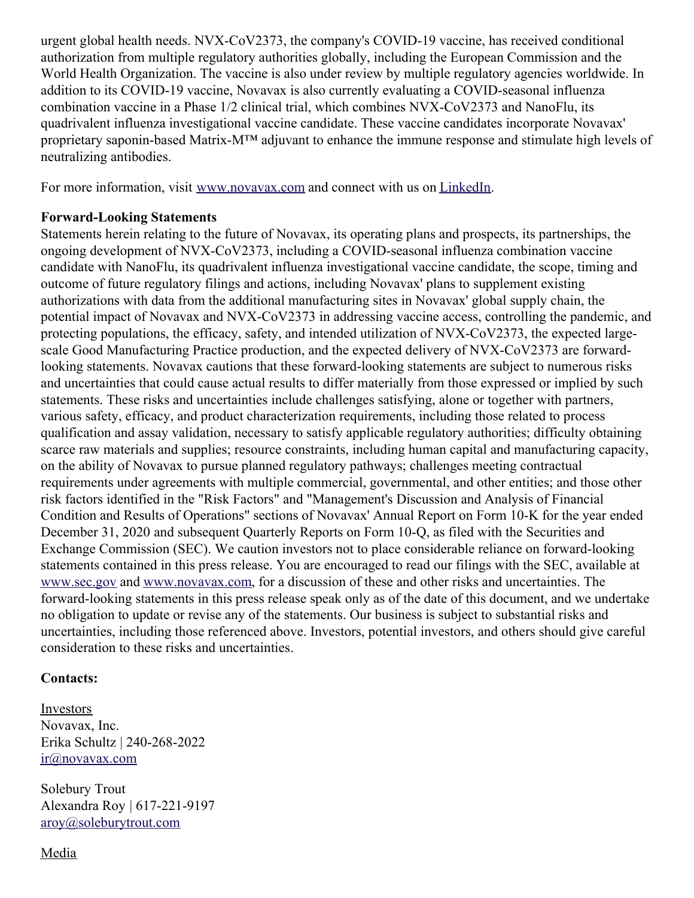urgent global health needs. NVX-CoV2373, the company's COVID-19 vaccine, has received conditional authorization from multiple regulatory authorities globally, including the European Commission and the World Health Organization. The vaccine is also under review by multiple regulatory agencies worldwide. In addition to its COVID-19 vaccine, Novavax is also currently evaluating a COVID-seasonal influenza combination vaccine in a Phase 1/2 clinical trial, which combines NVX-CoV2373 and NanoFlu, its quadrivalent influenza investigational vaccine candidate. These vaccine candidates incorporate Novavax' proprietary saponin-based Matrix-M™ adjuvant to enhance the immune response and stimulate high levels of neutralizing antibodies.

For more information, visit [www.novavax.com](https://c212.net/c/link/?t=0&l=en&o=3447006-1&h=3687261469&u=https%3A%2F%2Fc212.net%2Fc%2Flink%2F%3Ft%3D0%26l%3Den%26o%3D3395501-1%26h%3D2463599076%26u%3Dhttps%253A%252F%252Fc212.net%252Fc%252Flink%252F%253Ft%253D0%2526l%253Den%2526o%253D3392093-1%2526h%253D203886192%2526u%253Dhttps%25253A%25252F%25252Fc212.net%25252Fc%25252Flink%25252F%25253Ft%25253D0%252526l%25253Den%252526o%25253D3387216-1%252526h%25253D3917401194%252526u%25253Dhttps%2525253A%2525252F%2525252Fc212.net%2525252Fc%2525252Flink%2525252F%2525253Ft%2525253D0%25252526l%2525253Den%25252526o%2525253D3260461-1%25252526h%2525253D2897486098%25252526u%2525253Dhttp%252525253A%252525252F%252525252Fwww.novavax.com%252525252F%25252526a%2525253Dwww.novavax.com%252526a%25253Dwww.novavax.com%2526a%253Dwww.novavax.com%26a%3Dwww.novavax.com&a=www.novavax.com) and connect with us on [LinkedIn](https://c212.net/c/link/?t=0&l=en&o=3447006-1&h=2506263970&u=https%3A%2F%2Fc212.net%2Fc%2Flink%2F%3Ft%3D0%26l%3Den%26o%3D3395501-1%26h%3D853375093%26u%3Dhttps%253A%252F%252Fc212.net%252Fc%252Flink%252F%253Ft%253D0%2526l%253Den%2526o%253D3392093-1%2526h%253D1325598136%2526u%253Dhttps%25253A%25252F%25252Fc212.net%25252Fc%25252Flink%25252F%25253Ft%25253D0%252526l%25253Den%252526o%25253D3387216-1%252526h%25253D2935962557%252526u%25253Dhttps%2525253A%2525252F%2525252Fc212.net%2525252Fc%2525252Flink%2525252F%2525253Ft%2525253D0%25252526l%2525253Den%25252526o%2525253D3260461-1%25252526h%2525253D1508558197%25252526u%2525253Dhttps%252525253A%252525252F%252525252Fc212.net%252525252Fc%252525252Flink%252525252F%252525253Ft%252525253D0%2525252526l%252525253Den%2525252526o%252525253D3158017-1%2525252526h%252525253D3702938248%2525252526u%252525253Dhttps%25252525253A%25252525252F%25252525252Fwww.linkedin.com%25252525252Fcompany%25252525252Fnovavax%25252525252F%2525252526a%252525253DLinkedIn%25252526a%2525253DLinkedIn%252526a%25253DLinkedIn%2526a%253DLinkedIn%26a%3DLinkedIn&a=LinkedIn).

#### **Forward-Looking Statements**

Statements herein relating to the future of Novavax, its operating plans and prospects, its partnerships, the ongoing development of NVX-CoV2373, including a COVID-seasonal influenza combination vaccine candidate with NanoFlu, its quadrivalent influenza investigational vaccine candidate, the scope, timing and outcome of future regulatory filings and actions, including Novavax' plans to supplement existing authorizations with data from the additional manufacturing sites in Novavax' global supply chain, the potential impact of Novavax and NVX-CoV2373 in addressing vaccine access, controlling the pandemic, and protecting populations, the efficacy, safety, and intended utilization of NVX-CoV2373, the expected largescale Good Manufacturing Practice production, and the expected delivery of NVX-CoV2373 are forwardlooking statements. Novavax cautions that these forward-looking statements are subject to numerous risks and uncertainties that could cause actual results to differ materially from those expressed or implied by such statements. These risks and uncertainties include challenges satisfying, alone or together with partners, various safety, efficacy, and product characterization requirements, including those related to process qualification and assay validation, necessary to satisfy applicable regulatory authorities; difficulty obtaining scarce raw materials and supplies; resource constraints, including human capital and manufacturing capacity, on the ability of Novavax to pursue planned regulatory pathways; challenges meeting contractual requirements under agreements with multiple commercial, governmental, and other entities; and those other risk factors identified in the "Risk Factors" and "Management's Discussion and Analysis of Financial Condition and Results of Operations" sections of Novavax' Annual Report on Form 10-K for the year ended December 31, 2020 and subsequent Quarterly Reports on Form 10-Q, as filed with the Securities and Exchange Commission (SEC). We caution investors not to place considerable reliance on forward-looking statements contained in this press release. You are encouraged to read our filings with the SEC, available at [www.sec.gov](https://c212.net/c/link/?t=0&l=en&o=3447006-1&h=837539266&u=http%3A%2F%2Fwww.sec.gov%2F&a=www.sec.gov) and [www.novavax.com](https://c212.net/c/link/?t=0&l=en&o=3447006-1&h=886147410&u=http%3A%2F%2Fwww.novavax.com%2F&a=www.novavax.com), for a discussion of these and other risks and uncertainties. The forward-looking statements in this press release speak only as of the date of this document, and we undertake no obligation to update or revise any of the statements. Our business is subject to substantial risks and uncertainties, including those referenced above. Investors, potential investors, and others should give careful consideration to these risks and uncertainties.

#### **Contacts:**

Investors Novavax, Inc. Erika Schultz | 240-268-2022 [ir@novavax.com](mailto:ir@novavax.com)

Solebury Trout Alexandra Roy | 617-221-9197 [aroy@soleburytrout.com](mailto:aroy@soleburytrout.com)

## Media